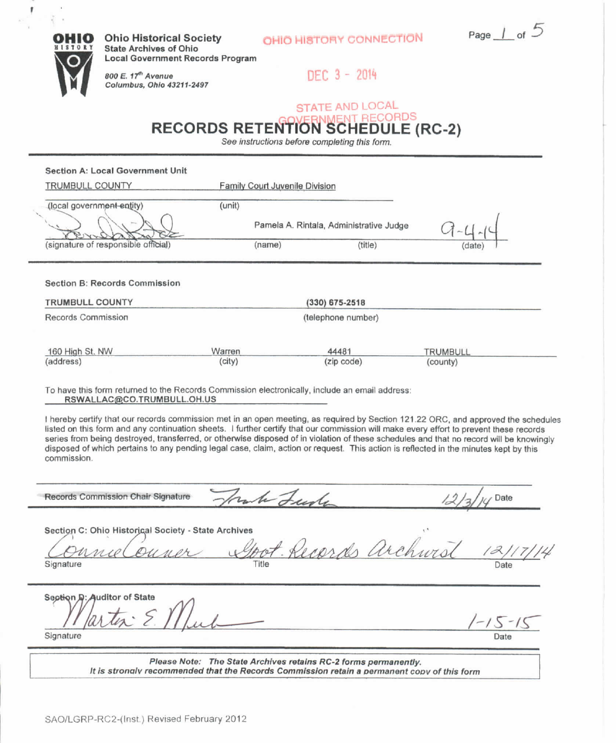OHIO HISTORY CONNECTION Page  $\perp$  of  $5$ 



Ï

**Local Government Records Program** 800 E. 17<sup>th</sup> Avenue

State Archives of Ohio

Columbus, Ohio 43211-2497

DEC 3 - 2014

## STATE AND LOCAL **IMENT RECORDS RECORDS RETENTION SCHEDULE (RC-2)**

See instructions before completing this form.

## Section A: Local Government Unit

| TRUMBULL COUNTY                                                |        | Family Court Juvenile Division |                                         |                 |  |
|----------------------------------------------------------------|--------|--------------------------------|-----------------------------------------|-----------------|--|
| (local government-entity)                                      | (unit) |                                |                                         |                 |  |
|                                                                |        |                                | Pamela A. Rintala, Administrative Judge |                 |  |
| (signature of responsible official)                            |        | (name)                         | (title)                                 | (date)          |  |
| <b>Section B: Records Commission</b><br><b>TRUMBULL COUNTY</b> |        |                                | $(330)$ 675-2518                        |                 |  |
| Records Commission                                             |        |                                | (telephone number)                      |                 |  |
| 160 High St. NW                                                | Warren |                                | 44481                                   | <b>TRUMBULL</b> |  |
| (address)                                                      | (city) |                                | (zip code)                              | (county)        |  |

## To have this form returned to the Records Commission electronically, include an email address: RSWALLAC@CO.TRUMBULL.OH.U5

I hereby certify that our records commission met in an open meeting, as required by Section 121.22 ORC, and approved the schedules listed on this form and any continuation sheets. I further certify that our commission will make every effort to prevent these records series from being destroyed, transferred, or otherwise disposed of in violation of these schedules and that no record will be knowingly disposed of which pertains to any pending legal case, claim, action or request. This action is reflected in the minutes kept by this commission.

Records Commission Chair Signature *Joan he Leaste* 12/3/14 Date

Section C: Ohio Historical Society - State Archives

bot Records archivis Signature Title Date

Section D: Auditor of State Signature Date **Date** 

 $5 - 15$ 

Please Note: The State Archives retains RC-2 forms permanently. It is strongly recommended that the Records Commission retain a permanent copy of this form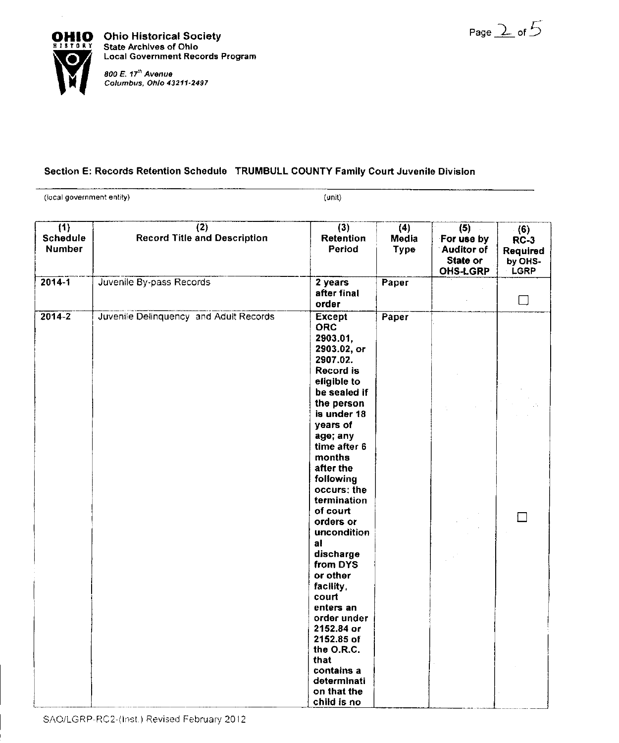Page  $2$  of  $5$ 



Local Government Records Program

## Section E: Records Retention Schedule TRUMBULL COUNTY Family Court Juvenile Division

(local government entity) (unit)

| $\overline{(1)}$<br>Schedule<br><b>Number</b> | (2)<br><b>Record Title and Description</b> | (3)<br><b>Retention</b><br>Period                                                                                                                                                                                                                                                                                                                                                                        | (4)<br>Media<br>Type | (5)<br>For use by<br><b>Auditor of</b><br>State or<br><b>OHS-LGRP</b> | (6)<br>$RC-3$<br>Required<br>by OHS-<br>LGRP |
|-----------------------------------------------|--------------------------------------------|----------------------------------------------------------------------------------------------------------------------------------------------------------------------------------------------------------------------------------------------------------------------------------------------------------------------------------------------------------------------------------------------------------|----------------------|-----------------------------------------------------------------------|----------------------------------------------|
| $2014 - 1$                                    | Juvenile By-pass Records                   | 2 years<br>after final<br>order                                                                                                                                                                                                                                                                                                                                                                          | Paper                |                                                                       | $\Box$                                       |
| $2014 - 2$                                    | Juvenile Delinquency and Adult Records     | <b>Except</b><br><b>ORC</b><br>2903.01,<br>2903.02, or<br>2907.02.<br>Record is<br>eligible to<br>be sealed if<br>the person<br>is under 18<br>years of<br>age; any<br>time after 6<br>months<br>after the<br>following<br>occurs: the<br>termination<br>of court<br>orders or<br>uncondition<br>al<br>discharge<br>from DYS<br>or other<br>facility,<br>court<br>enters an<br>order under<br>2152.84 or | Paper                |                                                                       |                                              |
|                                               |                                            | 2152.85 of<br>the O.R.C.<br>that<br>contains a<br>determinati<br>on that the<br>child is no                                                                                                                                                                                                                                                                                                              |                      |                                                                       |                                              |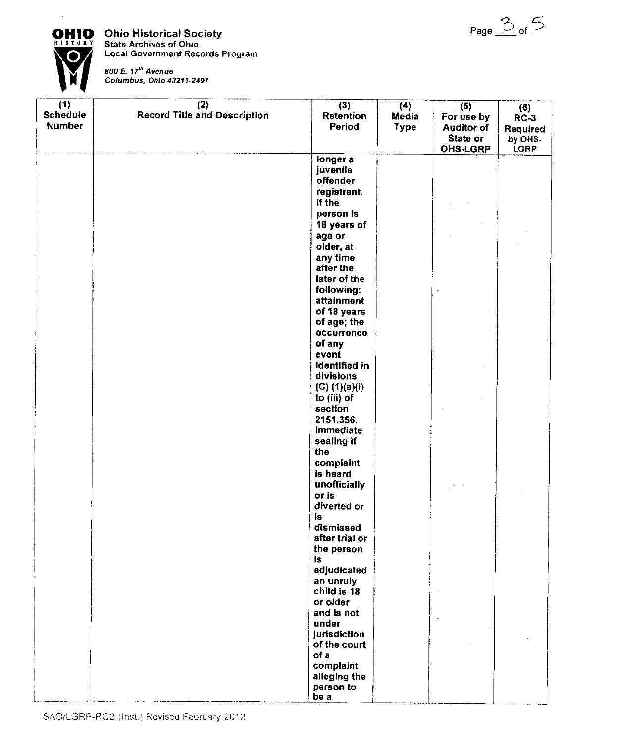

**OHIO** Ohio Historical Society<br>**HISTORY** State Archives of Ohio **D** Local Government Records Program



800 E. 17<sup>th</sup> Avenue<br>Columbus, Ohio 43211-2497

| (1)<br>Schedule<br><b>Number</b> | (2)<br><b>Record Title and Description</b> | (3)<br>Retention<br>Period                      | (4)<br>Media<br><b>Type</b> | (5)<br>For use by<br><b>Auditor of</b><br>State or<br><b>OHS-LGRP</b> | (6)<br>$RC-3$<br>Required<br>by OHS-<br><b>LGRP</b> |
|----------------------------------|--------------------------------------------|-------------------------------------------------|-----------------------------|-----------------------------------------------------------------------|-----------------------------------------------------|
|                                  |                                            | longer a<br>juvenile<br>offender<br>registrant. |                             |                                                                       |                                                     |
|                                  |                                            | If the<br>person is                             |                             |                                                                       |                                                     |
|                                  |                                            | 18 years of<br>age or                           |                             |                                                                       |                                                     |
|                                  |                                            | older, at<br>any time                           |                             |                                                                       |                                                     |
|                                  |                                            | after the<br>later of the                       |                             |                                                                       |                                                     |
|                                  |                                            | following:<br>attainment                        |                             |                                                                       |                                                     |
|                                  |                                            | of 18 years<br>of age; the<br>occurrence        |                             |                                                                       |                                                     |
|                                  |                                            | of any<br>event                                 |                             |                                                                       |                                                     |
|                                  |                                            | identified in<br>divisions                      |                             |                                                                       |                                                     |
|                                  |                                            | (C) (1)(a)(i)<br>to (iii) of<br>section         |                             |                                                                       |                                                     |
|                                  |                                            | 2151.356.<br>Immediate                          |                             |                                                                       |                                                     |
|                                  |                                            | sealing if<br>the<br>complaint                  |                             |                                                                       |                                                     |
|                                  |                                            | is heard<br>unofficially                        |                             |                                                                       |                                                     |
|                                  |                                            | or is<br>diverted or                            |                             |                                                                       |                                                     |
|                                  |                                            | İs<br>dismissed<br>after trial or               |                             |                                                                       |                                                     |
|                                  |                                            | the person<br>18.                               |                             |                                                                       |                                                     |
|                                  |                                            | adjudicated<br>an unruly<br>child is 18         |                             |                                                                       |                                                     |
|                                  |                                            | or older<br>and is not                          |                             |                                                                       |                                                     |
|                                  |                                            | under<br>jurisdiction<br>of the court           |                             |                                                                       |                                                     |
|                                  |                                            | of a<br>complaint                               |                             |                                                                       |                                                     |
|                                  |                                            | alleging the<br>person to<br>be a               |                             |                                                                       |                                                     |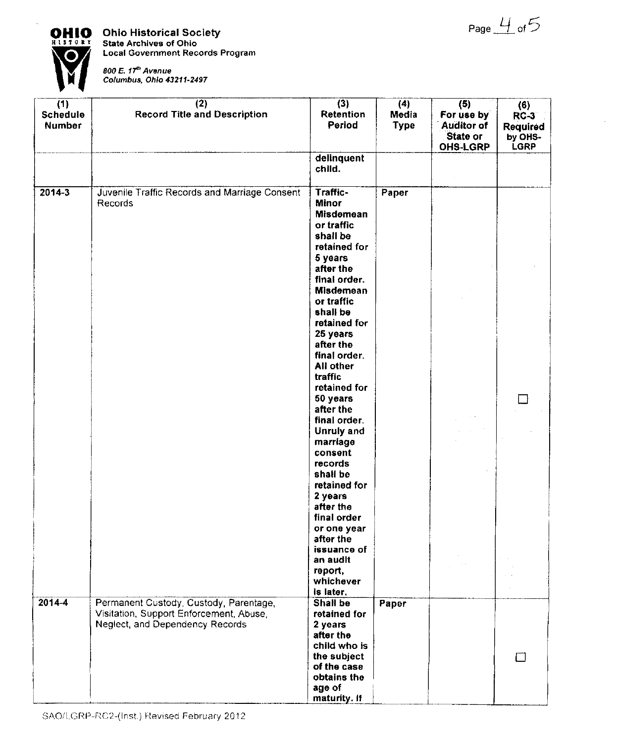



**OHIO** Ohio Historical Society<br>**ELSTORY** State Archives of Ohio **State Archives of Ohio Local** Government Records Program

**800 E. 17<sup>th</sup> Avenue**<br>Columbus, Ohio 43211-2497

| (1)<br>Schedule<br><b>Number</b> | (2)<br><b>Record Title and Description</b>                                                                           | (3)<br>Retention<br>Period                                                                                                                                                                                                                         | (4)<br>Media<br><b>Type</b> | (5)<br>For use by<br><b>Auditor of</b><br>State or<br><b>OHS-LGRP</b> | (6)<br>$RC-3$<br>Required<br>by OHS-<br><b>LGRP</b> |
|----------------------------------|----------------------------------------------------------------------------------------------------------------------|----------------------------------------------------------------------------------------------------------------------------------------------------------------------------------------------------------------------------------------------------|-----------------------------|-----------------------------------------------------------------------|-----------------------------------------------------|
|                                  |                                                                                                                      | delinquent<br>child.                                                                                                                                                                                                                               |                             |                                                                       |                                                     |
| $2014 - 3$                       | Juvenile Traffic Records and Marriage Consent<br>Records                                                             | Traffic-<br><b>Minor</b><br><b>Misdemean</b><br>or traffic<br>shall be<br>retained for<br>5 years<br>after the<br>final order.<br><b>Misdemean</b><br>or traffic<br>shall be<br>retained for<br>25 years<br>after the<br>final order.<br>All other | Paper                       |                                                                       |                                                     |
|                                  |                                                                                                                      | traffic<br>retained for<br>50 years<br>after the<br>final order.<br>Unruly and<br>marriage<br>consent<br>records<br>shall be<br>retained for<br>2 years<br>after the<br>final order<br>or one year<br>after the                                    |                             |                                                                       |                                                     |
|                                  |                                                                                                                      | issuance of<br>an audit<br>report,<br>whichever<br>is later.                                                                                                                                                                                       |                             |                                                                       |                                                     |
| $2014 - 4$                       | Permanent Custody, Custody, Parentage,<br>Visitation, Support Enforcement, Abuse,<br>Neglect, and Dependency Records | Shall be<br>retained for<br>2 years<br>after the<br>child who is<br>the subject<br>of the case<br>obtains the<br>age of<br>maturity. If                                                                                                            | Paper                       |                                                                       | Γl                                                  |